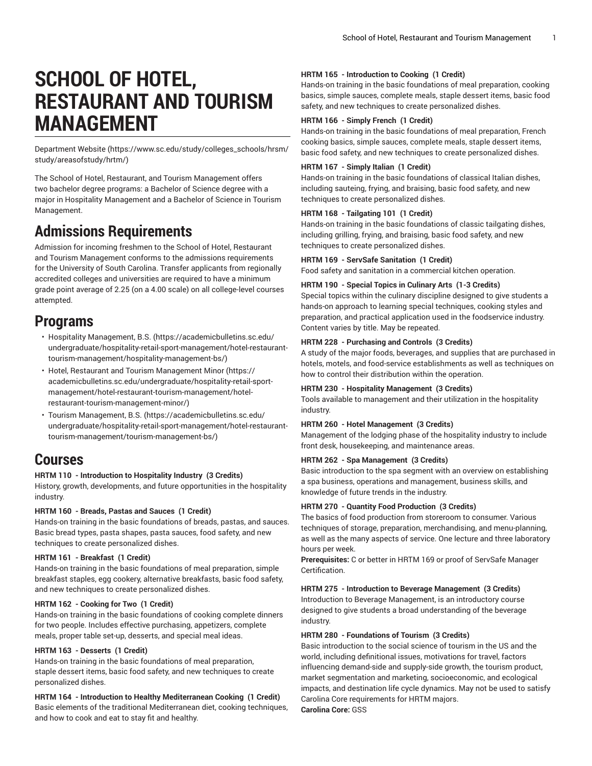# **SCHOOL OF HOTEL, RESTAURANT AND TOURISM MANAGEMENT**

[Department](https://www.sc.edu/study/colleges_schools/hrsm/study/areasofstudy/hrtm/) Website [\(https://www.sc.edu/study/colleges\\_schools/hrsm/](https://www.sc.edu/study/colleges_schools/hrsm/study/areasofstudy/hrtm/) [study/areasofstudy/hrtm/](https://www.sc.edu/study/colleges_schools/hrsm/study/areasofstudy/hrtm/))

The School of Hotel, Restaurant, and Tourism Management offers two bachelor degree programs: a Bachelor of Science degree with a major in Hospitality Management and a Bachelor of Science in Tourism Management.

## **Admissions Requirements**

Admission for incoming freshmen to the School of Hotel, Restaurant and Tourism Management conforms to the admissions requirements for the University of South Carolina. Transfer applicants from regionally accredited colleges and universities are required to have a minimum grade point average of 2.25 (on a 4.00 scale) on all college-level courses attempted.

## **Programs**

- [Hospitality Management, B.S.](https://academicbulletins.sc.edu/undergraduate/hospitality-retail-sport-management/hotel-restaurant-tourism-management/hospitality-management-bs/) [\(https://academicbulletins.sc.edu/](https://academicbulletins.sc.edu/undergraduate/hospitality-retail-sport-management/hotel-restaurant-tourism-management/hospitality-management-bs/) [undergraduate/hospitality-retail-sport-management/hotel-restaurant](https://academicbulletins.sc.edu/undergraduate/hospitality-retail-sport-management/hotel-restaurant-tourism-management/hospitality-management-bs/)[tourism-management/hospitality-management-bs/\)](https://academicbulletins.sc.edu/undergraduate/hospitality-retail-sport-management/hotel-restaurant-tourism-management/hospitality-management-bs/)
- Hotel, Restaurant and Tourism [Management](https://academicbulletins.sc.edu/undergraduate/hospitality-retail-sport-management/hotel-restaurant-tourism-management/hotel-restaurant-tourism-management-minor/) Minor ([https://](https://academicbulletins.sc.edu/undergraduate/hospitality-retail-sport-management/hotel-restaurant-tourism-management/hotel-restaurant-tourism-management-minor/) [academicbulletins.sc.edu/undergraduate/hospitality-retail-sport](https://academicbulletins.sc.edu/undergraduate/hospitality-retail-sport-management/hotel-restaurant-tourism-management/hotel-restaurant-tourism-management-minor/)[management/hotel-restaurant-tourism-management/hotel](https://academicbulletins.sc.edu/undergraduate/hospitality-retail-sport-management/hotel-restaurant-tourism-management/hotel-restaurant-tourism-management-minor/)[restaurant-tourism-management-minor/](https://academicbulletins.sc.edu/undergraduate/hospitality-retail-sport-management/hotel-restaurant-tourism-management/hotel-restaurant-tourism-management-minor/))
- Tourism [Management,](https://academicbulletins.sc.edu/undergraduate/hospitality-retail-sport-management/hotel-restaurant-tourism-management/tourism-management-bs/) B.S. ([https://academicbulletins.sc.edu/](https://academicbulletins.sc.edu/undergraduate/hospitality-retail-sport-management/hotel-restaurant-tourism-management/tourism-management-bs/) [undergraduate/hospitality-retail-sport-management/hotel-restaurant](https://academicbulletins.sc.edu/undergraduate/hospitality-retail-sport-management/hotel-restaurant-tourism-management/tourism-management-bs/)[tourism-management/tourism-management-bs/\)](https://academicbulletins.sc.edu/undergraduate/hospitality-retail-sport-management/hotel-restaurant-tourism-management/tourism-management-bs/)

## **Courses**

## **HRTM 110 - Introduction to Hospitality Industry (3 Credits)**

History, growth, developments, and future opportunities in the hospitality industry.

## **HRTM 160 - Breads, Pastas and Sauces (1 Credit)**

Hands-on training in the basic foundations of breads, pastas, and sauces. Basic bread types, pasta shapes, pasta sauces, food safety, and new techniques to create personalized dishes.

## **HRTM 161 - Breakfast (1 Credit)**

Hands-on training in the basic foundations of meal preparation, simple breakfast staples, egg cookery, alternative breakfasts, basic food safety, and new techniques to create personalized dishes.

## **HRTM 162 - Cooking for Two (1 Credit)**

Hands-on training in the basic foundations of cooking complete dinners for two people. Includes effective purchasing, appetizers, complete meals, proper table set-up, desserts, and special meal ideas.

## **HRTM 163 - Desserts (1 Credit)**

Hands-on training in the basic foundations of meal preparation, staple dessert items, basic food safety, and new techniques to create personalized dishes.

**HRTM 164 - Introduction to Healthy Mediterranean Cooking (1 Credit)** Basic elements of the traditional Mediterranean diet, cooking techniques, and how to cook and eat to stay fit and healthy.

## **HRTM 165 - Introduction to Cooking (1 Credit)**

Hands-on training in the basic foundations of meal preparation, cooking basics, simple sauces, complete meals, staple dessert items, basic food safety, and new techniques to create personalized dishes.

## **HRTM 166 - Simply French (1 Credit)**

Hands-on training in the basic foundations of meal preparation, French cooking basics, simple sauces, complete meals, staple dessert items, basic food safety, and new techniques to create personalized dishes.

## **HRTM 167 - Simply Italian (1 Credit)**

Hands-on training in the basic foundations of classical Italian dishes, including sauteing, frying, and braising, basic food safety, and new techniques to create personalized dishes.

## **HRTM 168 - Tailgating 101 (1 Credit)**

Hands-on training in the basic foundations of classic tailgating dishes, including grilling, frying, and braising, basic food safety, and new techniques to create personalized dishes.

## **HRTM 169 - ServSafe Sanitation (1 Credit)**

Food safety and sanitation in a commercial kitchen operation.

## **HRTM 190 - Special Topics in Culinary Arts (1-3 Credits)**

Special topics within the culinary discipline designed to give students a hands-on approach to learning special techniques, cooking styles and preparation, and practical application used in the foodservice industry. Content varies by title. May be repeated.

## **HRTM 228 - Purchasing and Controls (3 Credits)**

A study of the major foods, beverages, and supplies that are purchased in hotels, motels, and food-service establishments as well as techniques on how to control their distribution within the operation.

## **HRTM 230 - Hospitality Management (3 Credits)**

Tools available to management and their utilization in the hospitality industry.

## **HRTM 260 - Hotel Management (3 Credits)**

Management of the lodging phase of the hospitality industry to include front desk, housekeeping, and maintenance areas.

## **HRTM 262 - Spa Management (3 Credits)**

Basic introduction to the spa segment with an overview on establishing a spa business, operations and management, business skills, and knowledge of future trends in the industry.

## **HRTM 270 - Quantity Food Production (3 Credits)**

The basics of food production from storeroom to consumer. Various techniques of storage, preparation, merchandising, and menu-planning, as well as the many aspects of service. One lecture and three laboratory hours per week.

**Prerequisites:** C or better in HRTM 169 or proof of ServSafe Manager Certification.

## **HRTM 275 - Introduction to Beverage Management (3 Credits)**

Introduction to Beverage Management, is an introductory course designed to give students a broad understanding of the beverage industry.

## **HRTM 280 - Foundations of Tourism (3 Credits)**

Basic introduction to the social science of tourism in the US and the world, including definitional issues, motivations for travel, factors influencing demand-side and supply-side growth, the tourism product, market segmentation and marketing, socioeconomic, and ecological impacts, and destination life cycle dynamics. May not be used to satisfy Carolina Core requirements for HRTM majors. **Carolina Core:** GSS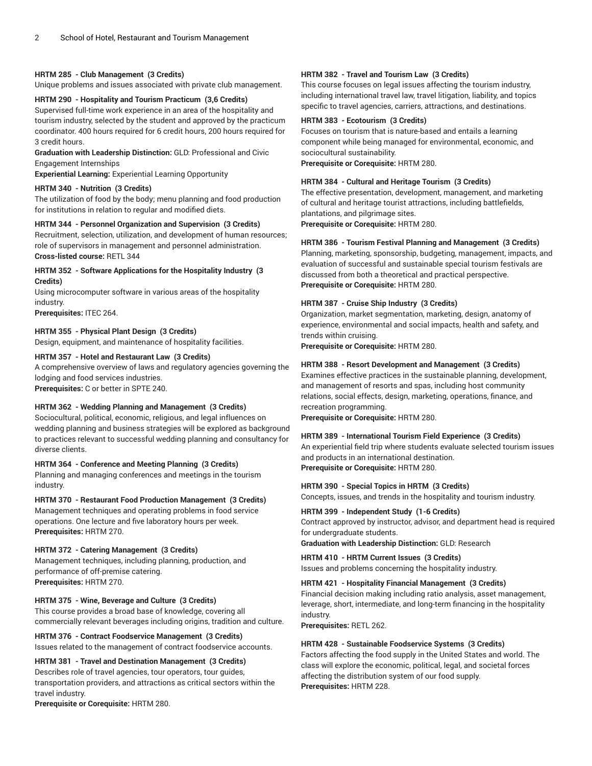## **HRTM 285 - Club Management (3 Credits)**

Unique problems and issues associated with private club management.

## **HRTM 290 - Hospitality and Tourism Practicum (3,6 Credits)**

Supervised full-time work experience in an area of the hospitality and tourism industry, selected by the student and approved by the practicum coordinator. 400 hours required for 6 credit hours, 200 hours required for 3 credit hours.

**Graduation with Leadership Distinction:** GLD: Professional and Civic Engagement Internships

**Experiential Learning:** Experiential Learning Opportunity

#### **HRTM 340 - Nutrition (3 Credits)**

The utilization of food by the body; menu planning and food production for institutions in relation to regular and modified diets.

#### **HRTM 344 - Personnel Organization and Supervision (3 Credits)**

Recruitment, selection, utilization, and development of human resources; role of supervisors in management and personnel administration. **Cross-listed course:** RETL 344

#### **HRTM 352 - Software Applications for the Hospitality Industry (3 Credits)**

Using microcomputer software in various areas of the hospitality industry.

**Prerequisites:** ITEC 264.

#### **HRTM 355 - Physical Plant Design (3 Credits)**

Design, equipment, and maintenance of hospitality facilities.

#### **HRTM 357 - Hotel and Restaurant Law (3 Credits)**

A comprehensive overview of laws and regulatory agencies governing the lodging and food services industries.

**Prerequisites:** C or better in SPTE 240.

#### **HRTM 362 - Wedding Planning and Management (3 Credits)**

Sociocultural, political, economic, religious, and legal influences on wedding planning and business strategies will be explored as background to practices relevant to successful wedding planning and consultancy for diverse clients.

#### **HRTM 364 - Conference and Meeting Planning (3 Credits)**

Planning and managing conferences and meetings in the tourism industry.

## **HRTM 370 - Restaurant Food Production Management (3 Credits)**

Management techniques and operating problems in food service operations. One lecture and five laboratory hours per week. **Prerequisites:** HRTM 270.

#### **HRTM 372 - Catering Management (3 Credits)**

Management techniques, including planning, production, and performance of off-premise catering. **Prerequisites:** HRTM 270.

#### **HRTM 375 - Wine, Beverage and Culture (3 Credits)**

This course provides a broad base of knowledge, covering all commercially relevant beverages including origins, tradition and culture.

#### **HRTM 376 - Contract Foodservice Management (3 Credits)** Issues related to the management of contract foodservice accounts.

## **HRTM 381 - Travel and Destination Management (3 Credits)**

Describes role of travel agencies, tour operators, tour guides, transportation providers, and attractions as critical sectors within the travel industry.

**Prerequisite or Corequisite:** HRTM 280.

## **HRTM 382 - Travel and Tourism Law (3 Credits)**

This course focuses on legal issues affecting the tourism industry, including international travel law, travel litigation, liability, and topics specific to travel agencies, carriers, attractions, and destinations.

## **HRTM 383 - Ecotourism (3 Credits)**

Focuses on tourism that is nature-based and entails a learning component while being managed for environmental, economic, and sociocultural sustainability.

**Prerequisite or Corequisite:** HRTM 280.

## **HRTM 384 - Cultural and Heritage Tourism (3 Credits)**

The effective presentation, development, management, and marketing of cultural and heritage tourist attractions, including battlefields, plantations, and pilgrimage sites. **Prerequisite or Corequisite:** HRTM 280.

## **HRTM 386 - Tourism Festival Planning and Management (3 Credits)**

Planning, marketing, sponsorship, budgeting, management, impacts, and evaluation of successful and sustainable special tourism festivals are discussed from both a theoretical and practical perspective. **Prerequisite or Corequisite:** HRTM 280.

#### **HRTM 387 - Cruise Ship Industry (3 Credits)**

Organization, market segmentation, marketing, design, anatomy of experience, environmental and social impacts, health and safety, and trends within cruising.

**Prerequisite or Corequisite:** HRTM 280.

#### **HRTM 388 - Resort Development and Management (3 Credits)**

Examines effective practices in the sustainable planning, development, and management of resorts and spas, including host community relations, social effects, design, marketing, operations, finance, and recreation programming.

**Prerequisite or Corequisite:** HRTM 280.

#### **HRTM 389 - International Tourism Field Experience (3 Credits)**

An experiential field trip where students evaluate selected tourism issues and products in an international destination. **Prerequisite or Corequisite:** HRTM 280.

#### **HRTM 390 - Special Topics in HRTM (3 Credits)**

Concepts, issues, and trends in the hospitality and tourism industry.

#### **HRTM 399 - Independent Study (1-6 Credits)**

Contract approved by instructor, advisor, and department head is required for undergraduate students.

**Graduation with Leadership Distinction:** GLD: Research

## **HRTM 410 - HRTM Current Issues (3 Credits)** Issues and problems concerning the hospitality industry.

## **HRTM 421 - Hospitality Financial Management (3 Credits)**

Financial decision making including ratio analysis, asset management, leverage, short, intermediate, and long-term financing in the hospitality industry.

**Prerequisites:** RETL 262.

#### **HRTM 428 - Sustainable Foodservice Systems (3 Credits)**

Factors affecting the food supply in the United States and world. The class will explore the economic, political, legal, and societal forces affecting the distribution system of our food supply. **Prerequisites:** HRTM 228.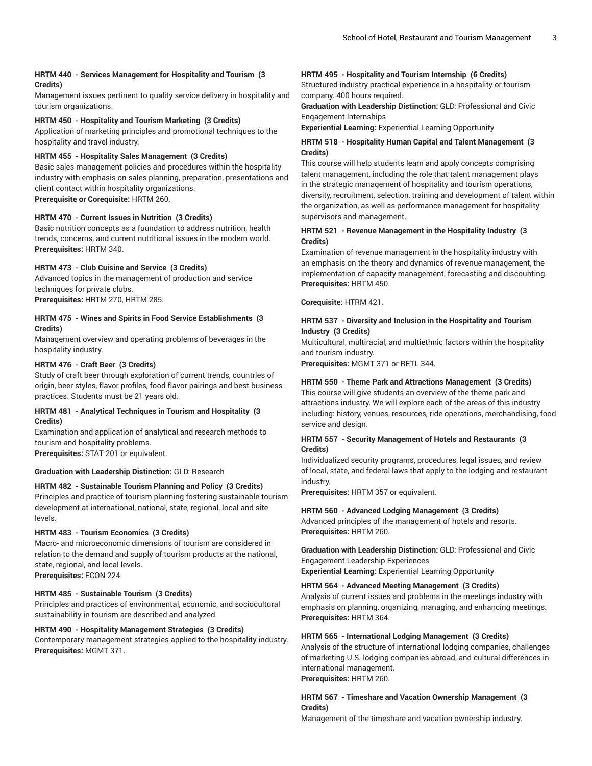#### **HRTM 440 - Services Management for Hospitality and Tourism (3 Credits)**

Management issues pertinent to quality service delivery in hospitality and tourism organizations.

#### **HRTM 450 - Hospitality and Tourism Marketing (3 Credits)**

Application of marketing principles and promotional techniques to the hospitality and travel industry.

#### **HRTM 455 - Hospitality Sales Management (3 Credits)**

Basic sales management policies and procedures within the hospitality industry with emphasis on sales planning, preparation, presentations and client contact within hospitality organizations. **Prerequisite or Corequisite:** HRTM 260.

#### **HRTM 470 - Current Issues in Nutrition (3 Credits)**

Basic nutrition concepts as a foundation to address nutrition, health trends, concerns, and current nutritional issues in the modern world. **Prerequisites:** HRTM 340.

#### **HRTM 473 - Club Cuisine and Service (3 Credits)**

Advanced topics in the management of production and service techniques for private clubs.

**Prerequisites:** HRTM 270, HRTM 285.

## **HRTM 475 - Wines and Spirits in Food Service Establishments (3 Credits)**

Management overview and operating problems of beverages in the hospitality industry.

#### **HRTM 476 - Craft Beer (3 Credits)**

Study of craft beer through exploration of current trends, countries of origin, beer styles, flavor profiles, food flavor pairings and best business practices. Students must be 21 years old.

#### **HRTM 481 - Analytical Techniques in Tourism and Hospitality (3 Credits)**

Examination and application of analytical and research methods to tourism and hospitality problems.

**Prerequisites:** STAT 201 or equivalent.

#### **Graduation with Leadership Distinction:** GLD: Research

#### **HRTM 482 - Sustainable Tourism Planning and Policy (3 Credits)**

Principles and practice of tourism planning fostering sustainable tourism development at international, national, state, regional, local and site levels.

#### **HRTM 483 - Tourism Economics (3 Credits)**

Macro- and microeconomic dimensions of tourism are considered in relation to the demand and supply of tourism products at the national, state, regional, and local levels. **Prerequisites:** ECON 224.

## **HRTM 485 - Sustainable Tourism (3 Credits)**

Principles and practices of environmental, economic, and sociocultural sustainability in tourism are described and analyzed.

#### **HRTM 490 - Hospitality Management Strategies (3 Credits)**

Contemporary management strategies applied to the hospitality industry. **Prerequisites:** MGMT 371.

#### **HRTM 495 - Hospitality and Tourism Internship (6 Credits)**

Structured industry practical experience in a hospitality or tourism company. 400 hours required.

#### **Graduation with Leadership Distinction:** GLD: Professional and Civic Engagement Internships

**Experiential Learning:** Experiential Learning Opportunity

#### **HRTM 518 - Hospitality Human Capital and Talent Management (3 Credits)**

This course will help students learn and apply concepts comprising talent management, including the role that talent management plays in the strategic management of hospitality and tourism operations, diversity, recruitment, selection, training and development of talent within the organization, as well as performance management for hospitality supervisors and management.

### **HRTM 521 - Revenue Management in the Hospitality Industry (3 Credits)**

Examination of revenue management in the hospitality industry with an emphasis on the theory and dynamics of revenue management, the implementation of capacity management, forecasting and discounting. **Prerequisites:** HRTM 450.

**Corequisite:** HTRM 421.

#### **HRTM 537 - Diversity and Inclusion in the Hospitality and Tourism Industry (3 Credits)**

Multicultural, multiracial, and multiethnic factors within the hospitality and tourism industry.

**Prerequisites:** MGMT 371 or RETL 344.

#### **HRTM 550 - Theme Park and Attractions Management (3 Credits)**

This course will give students an overview of the theme park and attractions industry. We will explore each of the areas of this industry including: history, venues, resources, ride operations, merchandising, food service and design.

#### **HRTM 557 - Security Management of Hotels and Restaurants (3 Credits)**

Individualized security programs, procedures, legal issues, and review of local, state, and federal laws that apply to the lodging and restaurant industry.

**Prerequisites:** HRTM 357 or equivalent.

#### **HRTM 560 - Advanced Lodging Management (3 Credits)**

Advanced principles of the management of hotels and resorts. **Prerequisites:** HRTM 260.

**Graduation with Leadership Distinction:** GLD: Professional and Civic Engagement Leadership Experiences

**Experiential Learning:** Experiential Learning Opportunity

#### **HRTM 564 - Advanced Meeting Management (3 Credits)**

Analysis of current issues and problems in the meetings industry with emphasis on planning, organizing, managing, and enhancing meetings. **Prerequisites:** HRTM 364.

#### **HRTM 565 - International Lodging Management (3 Credits)**

Analysis of the structure of international lodging companies, challenges of marketing U.S. lodging companies abroad, and cultural differences in international management.

**Prerequisites:** HRTM 260.

#### **HRTM 567 - Timeshare and Vacation Ownership Management (3 Credits)**

Management of the timeshare and vacation ownership industry.